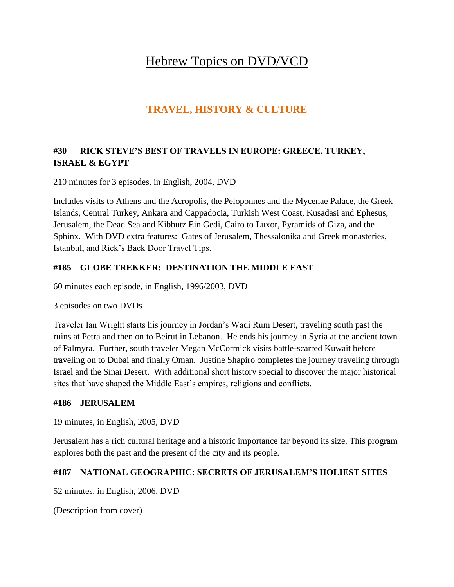# Hebrew Topics on DVD/VCD

## **TRAVEL, HISTORY & CULTURE**

## **#30 RICK STEVE'S BEST OF TRAVELS IN EUROPE: GREECE, TURKEY, ISRAEL & EGYPT**

210 minutes for 3 episodes, in English, 2004, DVD

Includes visits to Athens and the Acropolis, the Peloponnes and the Mycenae Palace, the Greek Islands, Central Turkey, Ankara and Cappadocia, Turkish West Coast, Kusadasi and Ephesus, Jerusalem, the Dead Sea and Kibbutz Ein Gedi, Cairo to Luxor, Pyramids of Giza, and the Sphinx. With DVD extra features: Gates of Jerusalem, Thessalonika and Greek monasteries, Istanbul, and Rick's Back Door Travel Tips.

#### **#185 GLOBE TREKKER: DESTINATION THE MIDDLE EAST**

60 minutes each episode, in English, 1996/2003, DVD

3 episodes on two DVDs

Traveler Ian Wright starts his journey in Jordan's Wadi Rum Desert, traveling south past the ruins at Petra and then on to Beirut in Lebanon. He ends his journey in Syria at the ancient town of Palmyra. Further, south traveler Megan McCormick visits battle-scarred Kuwait before traveling on to Dubai and finally Oman. Justine Shapiro completes the journey traveling through Israel and the Sinai Desert. With additional short history special to discover the major historical sites that have shaped the Middle East's empires, religions and conflicts.

#### **#186 JERUSALEM**

19 minutes, in English, 2005, DVD

Jerusalem has a rich cultural heritage and a historic importance far beyond its size. This program explores both the past and the present of the city and its people.

#### **#187 NATIONAL GEOGRAPHIC: SECRETS OF JERUSALEM'S HOLIEST SITES**

52 minutes, in English, 2006, DVD

(Description from cover)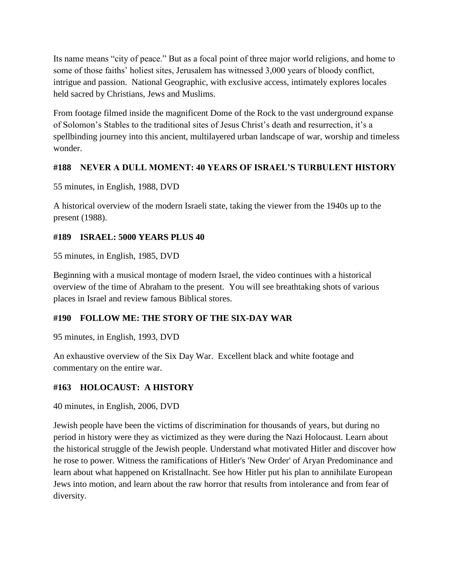Its name means "city of peace." But as a focal point of three major world religions, and home to some of those faiths' holiest sites, Jerusalem has witnessed 3,000 years of bloody conflict, intrigue and passion. National Geographic, with exclusive access, intimately explores locales held sacred by Christians, Jews and Muslims.

From footage filmed inside the magnificent Dome of the Rock to the vast underground expanse of Solomon's Stables to the traditional sites of Jesus Christ's death and resurrection, it's a spellbinding journey into this ancient, multilayered urban landscape of war, worship and timeless wonder.

## **#188 NEVER A DULL MOMENT: 40 YEARS OF ISRAEL'S TURBULENT HISTORY**

55 minutes, in English, 1988, DVD

A historical overview of the modern Israeli state, taking the viewer from the 1940s up to the present (1988).

## **#189 ISRAEL: 5000 YEARS PLUS 40**

55 minutes, in English, 1985, DVD

Beginning with a musical montage of modern Israel, the video continues with a historical overview of the time of Abraham to the present. You will see breathtaking shots of various places in Israel and review famous Biblical stores.

## **#190 FOLLOW ME: THE STORY OF THE SIX-DAY WAR**

95 minutes, in English, 1993, DVD

An exhaustive overview of the Six Day War. Excellent black and white footage and commentary on the entire war.

## **#163 HOLOCAUST: A HISTORY**

40 minutes, in English, 2006, DVD

Jewish people have been the victims of discrimination for thousands of years, but during no period in history were they as victimized as they were during the Nazi Holocaust. Learn about the historical struggle of the Jewish people. Understand what motivated Hitler and discover how he rose to power. Witness the ramifications of Hitler's 'New Order' of Aryan Predominance and learn about what happened on Kristallnacht. See how Hitler put his plan to annihilate European Jews into motion, and learn about the raw horror that results from intolerance and from fear of diversity.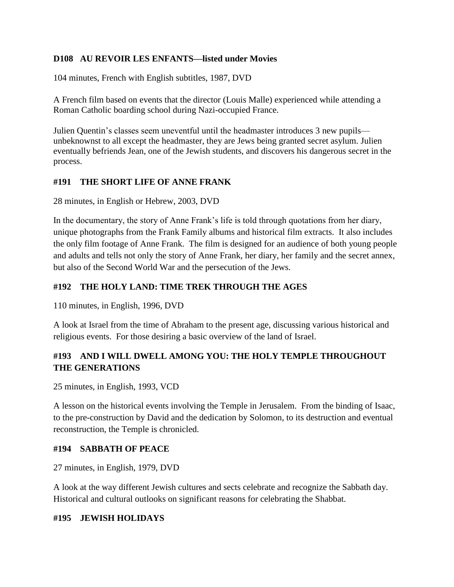#### **D108 AU REVOIR LES ENFANTS—listed under Movies**

104 minutes, French with English subtitles, 1987, DVD

A French film based on events that the director (Louis Malle) experienced while attending a Roman Catholic boarding school during Nazi-occupied France.

Julien Quentin's classes seem uneventful until the headmaster introduces 3 new pupils unbeknownst to all except the headmaster, they are Jews being granted secret asylum. Julien eventually befriends Jean, one of the Jewish students, and discovers his dangerous secret in the process.

#### **#191 THE SHORT LIFE OF ANNE FRANK**

28 minutes, in English or Hebrew, 2003, DVD

In the documentary, the story of Anne Frank's life is told through quotations from her diary, unique photographs from the Frank Family albums and historical film extracts. It also includes the only film footage of Anne Frank. The film is designed for an audience of both young people and adults and tells not only the story of Anne Frank, her diary, her family and the secret annex, but also of the Second World War and the persecution of the Jews.

## **#192 THE HOLY LAND: TIME TREK THROUGH THE AGES**

110 minutes, in English, 1996, DVD

A look at Israel from the time of Abraham to the present age, discussing various historical and religious events. For those desiring a basic overview of the land of Israel.

## **#193 AND I WILL DWELL AMONG YOU: THE HOLY TEMPLE THROUGHOUT THE GENERATIONS**

25 minutes, in English, 1993, VCD

A lesson on the historical events involving the Temple in Jerusalem. From the binding of Isaac, to the pre-construction by David and the dedication by Solomon, to its destruction and eventual reconstruction, the Temple is chronicled.

#### **#194 SABBATH OF PEACE**

27 minutes, in English, 1979, DVD

A look at the way different Jewish cultures and sects celebrate and recognize the Sabbath day. Historical and cultural outlooks on significant reasons for celebrating the Shabbat.

#### **#195 JEWISH HOLIDAYS**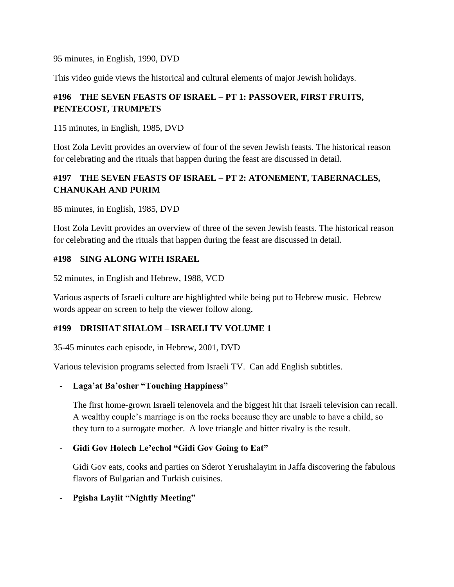95 minutes, in English, 1990, DVD

This video guide views the historical and cultural elements of major Jewish holidays.

## **#196 THE SEVEN FEASTS OF ISRAEL – PT 1: PASSOVER, FIRST FRUITS, PENTECOST, TRUMPETS**

115 minutes, in English, 1985, DVD

Host Zola Levitt provides an overview of four of the seven Jewish feasts. The historical reason for celebrating and the rituals that happen during the feast are discussed in detail.

## **#197 THE SEVEN FEASTS OF ISRAEL – PT 2: ATONEMENT, TABERNACLES, CHANUKAH AND PURIM**

85 minutes, in English, 1985, DVD

Host Zola Levitt provides an overview of three of the seven Jewish feasts. The historical reason for celebrating and the rituals that happen during the feast are discussed in detail.

#### **#198 SING ALONG WITH ISRAEL**

52 minutes, in English and Hebrew, 1988, VCD

Various aspects of Israeli culture are highlighted while being put to Hebrew music. Hebrew words appear on screen to help the viewer follow along.

## **#199 DRISHAT SHALOM – ISRAELI TV VOLUME 1**

35-45 minutes each episode, in Hebrew, 2001, DVD

Various television programs selected from Israeli TV. Can add English subtitles.

#### - **Laga'at Ba'osher "Touching Happiness"**

The first home-grown Israeli telenovela and the biggest hit that Israeli television can recall. A wealthy couple's marriage is on the rocks because they are unable to have a child, so they turn to a surrogate mother. A love triangle and bitter rivalry is the result.

## - **Gidi Gov Holech Le'echol "Gidi Gov Going to Eat"**

Gidi Gov eats, cooks and parties on Sderot Yerushalayim in Jaffa discovering the fabulous flavors of Bulgarian and Turkish cuisines.

## - **Pgisha Laylit "Nightly Meeting"**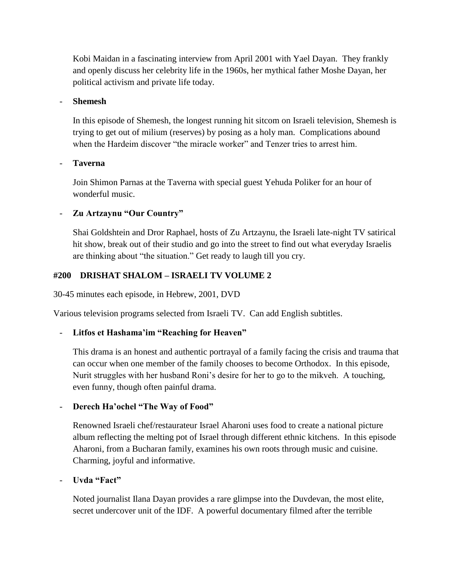Kobi Maidan in a fascinating interview from April 2001 with Yael Dayan. They frankly and openly discuss her celebrity life in the 1960s, her mythical father Moshe Dayan, her political activism and private life today.

#### - **Shemesh**

In this episode of Shemesh, the longest running hit sitcom on Israeli television, Shemesh is trying to get out of milium (reserves) by posing as a holy man. Complications abound when the Hardeim discover "the miracle worker" and Tenzer tries to arrest him.

#### - **Taverna**

Join Shimon Parnas at the Taverna with special guest Yehuda Poliker for an hour of wonderful music.

#### - **Zu Artzaynu "Our Country"**

Shai Goldshtein and Dror Raphael, hosts of Zu Artzaynu, the Israeli late-night TV satirical hit show, break out of their studio and go into the street to find out what everyday Israelis are thinking about "the situation." Get ready to laugh till you cry.

#### **#200 DRISHAT SHALOM – ISRAELI TV VOLUME 2**

30-45 minutes each episode, in Hebrew, 2001, DVD

Various television programs selected from Israeli TV. Can add English subtitles.

#### - **Litfos et Hashama'im "Reaching for Heaven"**

This drama is an honest and authentic portrayal of a family facing the crisis and trauma that can occur when one member of the family chooses to become Orthodox. In this episode, Nurit struggles with her husband Roni's desire for her to go to the mikveh. A touching, even funny, though often painful drama.

#### Derech Ha'ochel "The Way of Food"

Renowned Israeli chef/restaurateur Israel Aharoni uses food to create a national picture album reflecting the melting pot of Israel through different ethnic kitchens. In this episode Aharoni, from a Bucharan family, examines his own roots through music and cuisine. Charming, joyful and informative.

#### - **Uvda "Fact"**

Noted journalist Ilana Dayan provides a rare glimpse into the Duvdevan, the most elite, secret undercover unit of the IDF. A powerful documentary filmed after the terrible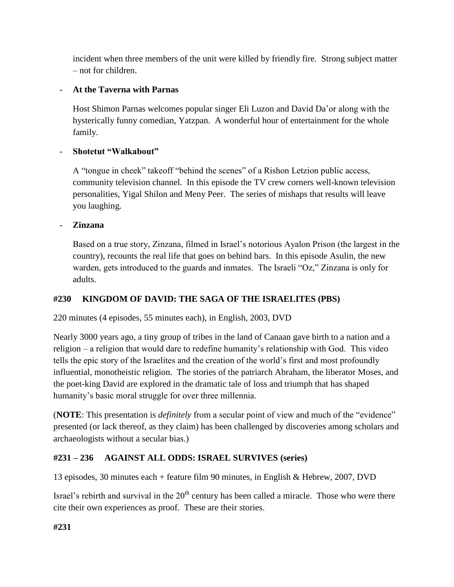incident when three members of the unit were killed by friendly fire. Strong subject matter – not for children.

### - **At the Taverna with Parnas**

Host Shimon Parnas welcomes popular singer Eli Luzon and David Da'or along with the hysterically funny comedian, Yatzpan. A wonderful hour of entertainment for the whole family.

#### - **Shotetut "Walkabout"**

A "tongue in cheek" takeoff "behind the scenes" of a Rishon Letzion public access, community television channel. In this episode the TV crew corners well-known television personalities, Yigal Shilon and Meny Peer. The series of mishaps that results will leave you laughing.

#### - **Zinzana**

Based on a true story, Zinzana, filmed in Israel's notorious Ayalon Prison (the largest in the country), recounts the real life that goes on behind bars. In this episode Asulin, the new warden, gets introduced to the guards and inmates. The Israeli "Oz," Zinzana is only for adults.

## **#230 KINGDOM OF DAVID: THE SAGA OF THE ISRAELITES (PBS)**

220 minutes (4 episodes, 55 minutes each), in English, 2003, DVD

Nearly 3000 years ago, a tiny group of tribes in the land of Canaan gave birth to a nation and a religion – a religion that would dare to redefine humanity's relationship with God. This video tells the epic story of the Israelites and the creation of the world's first and most profoundly influential, monotheistic religion. The stories of the patriarch Abraham, the liberator Moses, and the poet-king David are explored in the dramatic tale of loss and triumph that has shaped humanity's basic moral struggle for over three millennia.

(**NOTE**: This presentation is *definitely* from a secular point of view and much of the "evidence" presented (or lack thereof, as they claim) has been challenged by discoveries among scholars and archaeologists without a secular bias.)

## **#231 – 236 AGAINST ALL ODDS: ISRAEL SURVIVES (series)**

13 episodes, 30 minutes each + feature film 90 minutes, in English & Hebrew, 2007, DVD

Israel's rebirth and survival in the  $20<sup>th</sup>$  century has been called a miracle. Those who were there cite their own experiences as proof. These are their stories.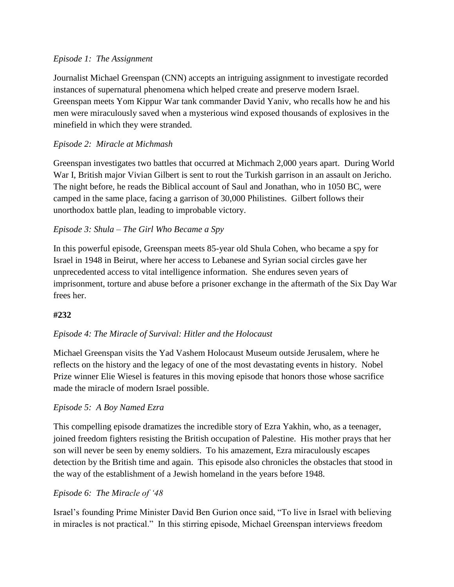#### *Episode 1: The Assignment*

Journalist Michael Greenspan (CNN) accepts an intriguing assignment to investigate recorded instances of supernatural phenomena which helped create and preserve modern Israel. Greenspan meets Yom Kippur War tank commander David Yaniv, who recalls how he and his men were miraculously saved when a mysterious wind exposed thousands of explosives in the minefield in which they were stranded.

## *Episode 2: Miracle at Michmash*

Greenspan investigates two battles that occurred at Michmach 2,000 years apart. During World War I, British major Vivian Gilbert is sent to rout the Turkish garrison in an assault on Jericho. The night before, he reads the Biblical account of Saul and Jonathan, who in 1050 BC, were camped in the same place, facing a garrison of 30,000 Philistines. Gilbert follows their unorthodox battle plan, leading to improbable victory.

#### *Episode 3: Shula – The Girl Who Became a Spy*

In this powerful episode, Greenspan meets 85-year old Shula Cohen, who became a spy for Israel in 1948 in Beirut, where her access to Lebanese and Syrian social circles gave her unprecedented access to vital intelligence information. She endures seven years of imprisonment, torture and abuse before a prisoner exchange in the aftermath of the Six Day War frees her.

#### **#232**

#### *Episode 4: The Miracle of Survival: Hitler and the Holocaust*

Michael Greenspan visits the Yad Vashem Holocaust Museum outside Jerusalem, where he reflects on the history and the legacy of one of the most devastating events in history. Nobel Prize winner Elie Wiesel is features in this moving episode that honors those whose sacrifice made the miracle of modern Israel possible.

#### *Episode 5: A Boy Named Ezra*

This compelling episode dramatizes the incredible story of Ezra Yakhin, who, as a teenager, joined freedom fighters resisting the British occupation of Palestine. His mother prays that her son will never be seen by enemy soldiers. To his amazement, Ezra miraculously escapes detection by the British time and again. This episode also chronicles the obstacles that stood in the way of the establishment of a Jewish homeland in the years before 1948.

#### *Episode 6: The Miracle of '48*

Israel's founding Prime Minister David Ben Gurion once said, "To live in Israel with believing in miracles is not practical." In this stirring episode, Michael Greenspan interviews freedom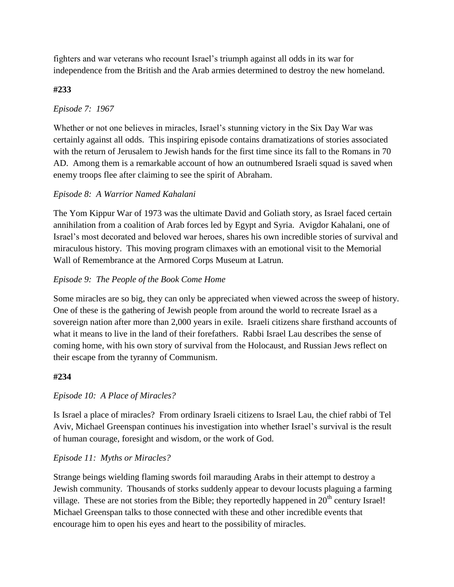fighters and war veterans who recount Israel's triumph against all odds in its war for independence from the British and the Arab armies determined to destroy the new homeland.

## **#233**

## *Episode 7: 1967*

Whether or not one believes in miracles, Israel's stunning victory in the Six Day War was certainly against all odds. This inspiring episode contains dramatizations of stories associated with the return of Jerusalem to Jewish hands for the first time since its fall to the Romans in 70 AD. Among them is a remarkable account of how an outnumbered Israeli squad is saved when enemy troops flee after claiming to see the spirit of Abraham.

## *Episode 8: A Warrior Named Kahalani*

The Yom Kippur War of 1973 was the ultimate David and Goliath story, as Israel faced certain annihilation from a coalition of Arab forces led by Egypt and Syria. Avigdor Kahalani, one of Israel's most decorated and beloved war heroes, shares his own incredible stories of survival and miraculous history. This moving program climaxes with an emotional visit to the Memorial Wall of Remembrance at the Armored Corps Museum at Latrun.

## *Episode 9: The People of the Book Come Home*

Some miracles are so big, they can only be appreciated when viewed across the sweep of history. One of these is the gathering of Jewish people from around the world to recreate Israel as a sovereign nation after more than 2,000 years in exile. Israeli citizens share firsthand accounts of what it means to live in the land of their forefathers. Rabbi Israel Lau describes the sense of coming home, with his own story of survival from the Holocaust, and Russian Jews reflect on their escape from the tyranny of Communism.

#### **#234**

## *Episode 10: A Place of Miracles?*

Is Israel a place of miracles? From ordinary Israeli citizens to Israel Lau, the chief rabbi of Tel Aviv, Michael Greenspan continues his investigation into whether Israel's survival is the result of human courage, foresight and wisdom, or the work of God.

## *Episode 11: Myths or Miracles?*

Strange beings wielding flaming swords foil marauding Arabs in their attempt to destroy a Jewish community. Thousands of storks suddenly appear to devour locusts plaguing a farming village. These are not stories from the Bible; they reportedly happened in  $20<sup>th</sup>$  century Israel! Michael Greenspan talks to those connected with these and other incredible events that encourage him to open his eyes and heart to the possibility of miracles.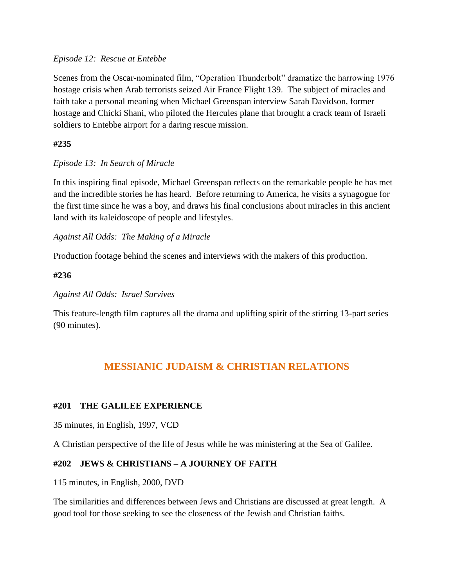#### *Episode 12: Rescue at Entebbe*

Scenes from the Oscar-nominated film, "Operation Thunderbolt" dramatize the harrowing 1976 hostage crisis when Arab terrorists seized Air France Flight 139. The subject of miracles and faith take a personal meaning when Michael Greenspan interview Sarah Davidson, former hostage and Chicki Shani, who piloted the Hercules plane that brought a crack team of Israeli soldiers to Entebbe airport for a daring rescue mission.

#### **#235**

#### *Episode 13: In Search of Miracle*

In this inspiring final episode, Michael Greenspan reflects on the remarkable people he has met and the incredible stories he has heard. Before returning to America, he visits a synagogue for the first time since he was a boy, and draws his final conclusions about miracles in this ancient land with its kaleidoscope of people and lifestyles.

*Against All Odds: The Making of a Miracle*

Production footage behind the scenes and interviews with the makers of this production.

**#236**

*Against All Odds: Israel Survives*

This feature-length film captures all the drama and uplifting spirit of the stirring 13-part series (90 minutes).

## **MESSIANIC JUDAISM & CHRISTIAN RELATIONS**

#### **#201 THE GALILEE EXPERIENCE**

35 minutes, in English, 1997, VCD

A Christian perspective of the life of Jesus while he was ministering at the Sea of Galilee.

#### **#202 JEWS & CHRISTIANS – A JOURNEY OF FAITH**

115 minutes, in English, 2000, DVD

The similarities and differences between Jews and Christians are discussed at great length. A good tool for those seeking to see the closeness of the Jewish and Christian faiths.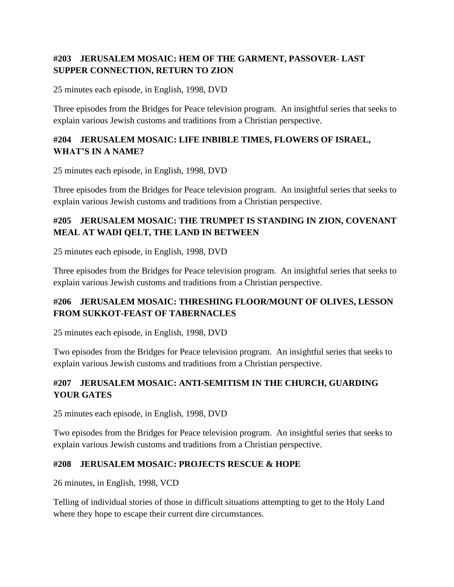## **#203 JERUSALEM MOSAIC: HEM OF THE GARMENT, PASSOVER- LAST SUPPER CONNECTION, RETURN TO ZION**

25 minutes each episode, in English, 1998, DVD

Three episodes from the Bridges for Peace television program. An insightful series that seeks to explain various Jewish customs and traditions from a Christian perspective.

### **#204 JERUSALEM MOSAIC: LIFE INBIBLE TIMES, FLOWERS OF ISRAEL, WHAT'S IN A NAME?**

25 minutes each episode, in English, 1998, DVD

Three episodes from the Bridges for Peace television program. An insightful series that seeks to explain various Jewish customs and traditions from a Christian perspective.

## **#205 JERUSALEM MOSAIC: THE TRUMPET IS STANDING IN ZION, COVENANT MEAL AT WADI QELT, THE LAND IN BETWEEN**

25 minutes each episode, in English, 1998, DVD

Three episodes from the Bridges for Peace television program. An insightful series that seeks to explain various Jewish customs and traditions from a Christian perspective.

## **#206 JERUSALEM MOSAIC: THRESHING FLOOR/MOUNT OF OLIVES, LESSON FROM SUKKOT-FEAST OF TABERNACLES**

25 minutes each episode, in English, 1998, DVD

Two episodes from the Bridges for Peace television program. An insightful series that seeks to explain various Jewish customs and traditions from a Christian perspective.

## **#207 JERUSALEM MOSAIC: ANTI-SEMITISM IN THE CHURCH, GUARDING YOUR GATES**

25 minutes each episode, in English, 1998, DVD

Two episodes from the Bridges for Peace television program. An insightful series that seeks to explain various Jewish customs and traditions from a Christian perspective.

## **#208 JERUSALEM MOSAIC: PROJECTS RESCUE & HOPE**

26 minutes, in English, 1998, VCD

Telling of individual stories of those in difficult situations attempting to get to the Holy Land where they hope to escape their current dire circumstances.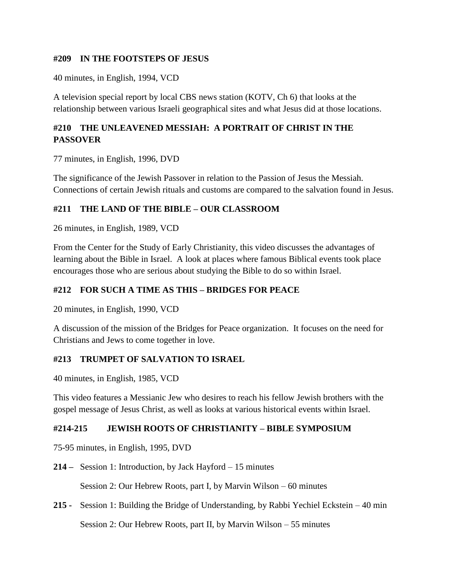#### **#209 IN THE FOOTSTEPS OF JESUS**

40 minutes, in English, 1994, VCD

A television special report by local CBS news station (KOTV, Ch 6) that looks at the relationship between various Israeli geographical sites and what Jesus did at those locations.

## **#210 THE UNLEAVENED MESSIAH: A PORTRAIT OF CHRIST IN THE PASSOVER**

77 minutes, in English, 1996, DVD

The significance of the Jewish Passover in relation to the Passion of Jesus the Messiah. Connections of certain Jewish rituals and customs are compared to the salvation found in Jesus.

#### **#211 THE LAND OF THE BIBLE – OUR CLASSROOM**

26 minutes, in English, 1989, VCD

From the Center for the Study of Early Christianity, this video discusses the advantages of learning about the Bible in Israel. A look at places where famous Biblical events took place encourages those who are serious about studying the Bible to do so within Israel.

#### **#212 FOR SUCH A TIME AS THIS – BRIDGES FOR PEACE**

20 minutes, in English, 1990, VCD

A discussion of the mission of the Bridges for Peace organization. It focuses on the need for Christians and Jews to come together in love.

#### **#213 TRUMPET OF SALVATION TO ISRAEL**

40 minutes, in English, 1985, VCD

This video features a Messianic Jew who desires to reach his fellow Jewish brothers with the gospel message of Jesus Christ, as well as looks at various historical events within Israel.

#### **#214-215 JEWISH ROOTS OF CHRISTIANITY – BIBLE SYMPOSIUM**

75-95 minutes, in English, 1995, DVD

**214 –** Session 1: Introduction, by Jack Hayford – 15 minutes

Session 2: Our Hebrew Roots, part I, by Marvin Wilson – 60 minutes

**215 -** Session 1: Building the Bridge of Understanding, by Rabbi Yechiel Eckstein – 40 min

Session 2: Our Hebrew Roots, part II, by Marvin Wilson – 55 minutes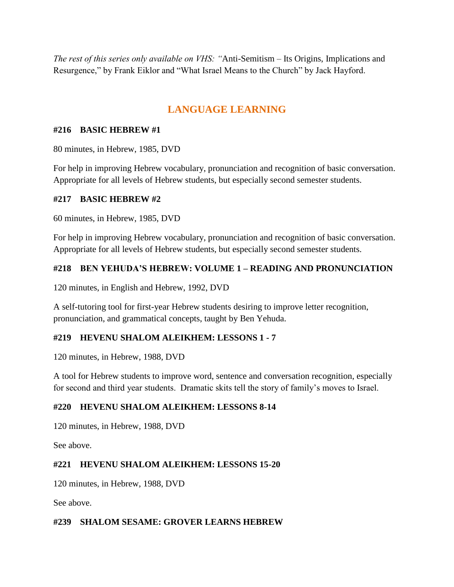*The rest of this series only available on VHS: "*Anti-Semitism – Its Origins, Implications and Resurgence," by Frank Eiklor and "What Israel Means to the Church" by Jack Hayford.

## **LANGUAGE LEARNING**

#### **#216 BASIC HEBREW #1**

80 minutes, in Hebrew, 1985, DVD

For help in improving Hebrew vocabulary, pronunciation and recognition of basic conversation. Appropriate for all levels of Hebrew students, but especially second semester students.

#### **#217 BASIC HEBREW #2**

60 minutes, in Hebrew, 1985, DVD

For help in improving Hebrew vocabulary, pronunciation and recognition of basic conversation. Appropriate for all levels of Hebrew students, but especially second semester students.

#### **#218 BEN YEHUDA'S HEBREW: VOLUME 1 – READING AND PRONUNCIATION**

120 minutes, in English and Hebrew, 1992, DVD

A self-tutoring tool for first-year Hebrew students desiring to improve letter recognition, pronunciation, and grammatical concepts, taught by Ben Yehuda.

#### **#219 HEVENU SHALOM ALEIKHEM: LESSONS 1 - 7**

120 minutes, in Hebrew, 1988, DVD

A tool for Hebrew students to improve word, sentence and conversation recognition, especially for second and third year students. Dramatic skits tell the story of family's moves to Israel.

#### **#220 HEVENU SHALOM ALEIKHEM: LESSONS 8-14**

120 minutes, in Hebrew, 1988, DVD

See above.

#### **#221 HEVENU SHALOM ALEIKHEM: LESSONS 15-20**

120 minutes, in Hebrew, 1988, DVD

See above.

#### **#239 SHALOM SESAME: GROVER LEARNS HEBREW**